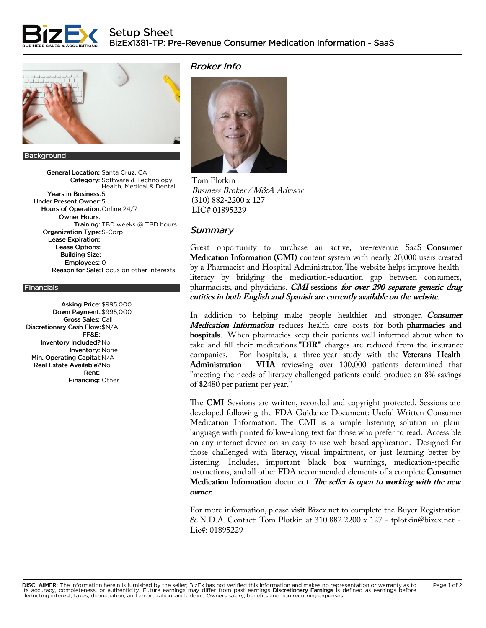



## Background

General Location: Santa Cruz, CA Category: Software & Technology Health, Medical & Dental Years in Business:5 Under Present Owner: 5 Hours of Operation: Online 24/7 Owner Hours: Training: TBD weeks @ TBD hours Organization Type: S-Corp Lease Expiration: Lease Options: Building Size: Employees: 0 Reason for Sale: Focus on other interests

## **Financials**

Asking Price: \$995,000 Down Payment: \$995,000 Gross Sales: Call Discretionary Cash Flow:\$N/A FF&E: Inventory Included? No Inventory: None Min. Operating Capital: N/A Real Estate Available? No Rent: Financing: Other

## Broker Info



Tom [Plotkin](https://www.bizex.net/business-broker/tom-plotkin) Business Broker / M&A Advisor (310) 882-2200 x 127 LIC# 01895229

## **Summary**

Great opportunity to purchase an active, pre-revenue SaaS Consumer Medication Information (CMI) content system with nearly 20,000 users created by a Pharmacist and Hospital Administrator. The website helps improve health literacy by bridging the medication-education gap between consumers, pharmacists, and physicians. CMI sessions for over 290 separate generic drug entities in both English and Spanish are currently available on the website.

In addition to helping make people healthier and stronger, *Consumer* Medication Information reduces health care costs for both pharmacies and hospitals. When pharmacies keep their patients well informed about when to take and fill their medications "DIR" charges are reduced from the insurance companies. For hospitals, a three-year study with the Veterans Health Administration - VHA reviewing over 100,000 patients determined that "meeting the needs of literacy challenged patients could produce an 8% savings of \$2480 per patient per year."

The CMI Sessions are written, recorded and copyright protected. Sessions are developed following the FDA Guidance Document: Useful Written Consumer Medication Information. The CMI is a simple listening solution in plain language with printed follow-along text for those who prefer to read. Accessible on any internet device on an easy-to-use web-based application. Designed for those challenged with literacy, visual impairment, or just learning better by listening. Includes, important black box warnings, medication-specific instructions, and all other FDA recommended elements of a complete Consumer Medication Information document. The seller is open to working with the new owner.

For more information, please visit Bizex.net to complete the Buyer Registration & N.D.A. Contact: Tom Plotkin at 310.882.2200 x 127 - tplotkin@bizex.net - Lic#: 01895229